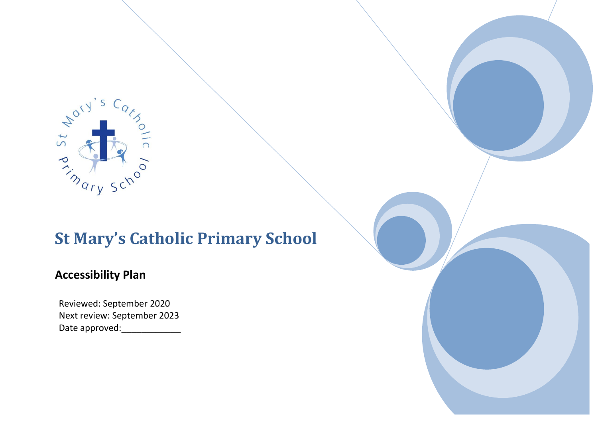

# **St Mary's Catholic Primary School**

### **Accessibility Plan**

Reviewed: September 2020 Next review: September 2023 Date approved:\_\_\_\_\_\_\_\_\_\_\_\_\_\_\_

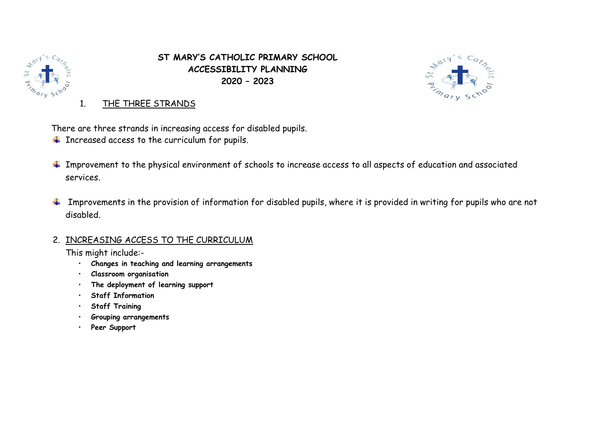

**ST MARY'S CATHOLIC PRIMARY SCHOOL ACCESSIBILITY PLANNING 2020 – 2023**



1. THE THREE STRANDS

There are three strands in increasing access for disabled pupils.

- $\ddot{\phantom{1}}$  Increased access to the curriculum for pupils.
- **IMPROVEMENT TO the physical environment of schools to increase access to all aspects of education and associated** services.
- $\ddot{\phantom{1}}$  Improvements in the provision of information for disabled pupils, where it is provided in writing for pupils who are not disabled.

### 2. INCREASING ACCESS TO THE CURRICULUM

This might include:-

- **Changes in teaching and learning arrangements**
- **Classroom organisation**
- **The deployment of learning support**
- **Staff Information**
- **Staff Training**
- **Grouping arrangements**
- **Peer Support**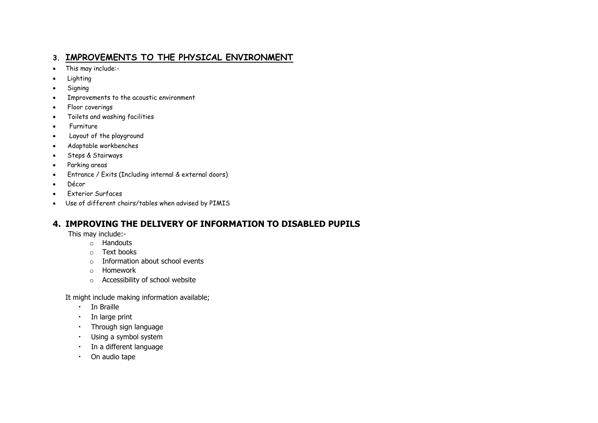#### **3. IMPROVEMENTS TO THE PHYSICAL ENVIRONMENT**

- This may include:-
- Lighting
- Signing
- Improvements to the acoustic environment
- Floor coverings
- Toilets and washing facilities
- Furniture
- Layout of the playground
- Adaptable workbenches
- Steps & Stairways
- Parking areas
- Entrance / Exits (Including internal & external doors)
- Décor
- Exterior Surfaces
- Use of different chairs/tables when advised by PIMIS

#### **4. IMPROVING THE DELIVERY OF INFORMATION TO DISABLED PUPILS**

This may include:-

- o Handouts
- o Text books
- o Information about school events
- o Homework
- o Accessibility of school website

It might include making information available;

- In Braille
- In large print
- Through sign language
- Using a symbol system
- In a different language
- On audio tape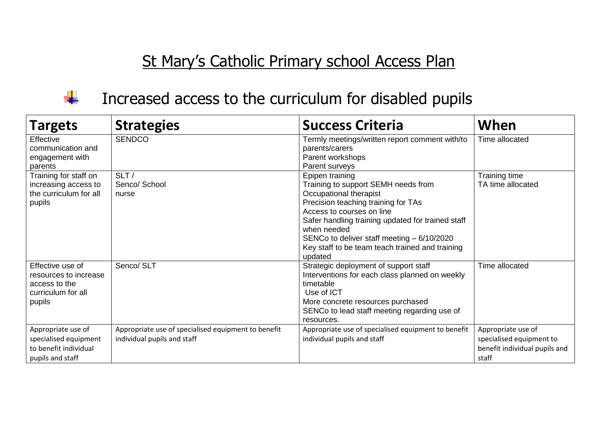# St Mary's Catholic Primary school Access Plan



### Increased access to the curriculum for disabled pupils

| <b>Targets</b>                         | <b>Strategies</b>                                   | <b>Success Criteria</b>                                          | When                          |
|----------------------------------------|-----------------------------------------------------|------------------------------------------------------------------|-------------------------------|
| Effective<br>communication and         | <b>SENDCO</b>                                       | Termly meetings/written report comment with/to<br>parents/carers | Time allocated                |
| engagement with<br>parents             |                                                     | Parent workshops<br>Parent surveys                               |                               |
| Training for staff on                  | SLT/                                                | Epipen training                                                  | Training time                 |
| increasing access to                   | Senco/ School                                       | Training to support SEMH needs from                              | TA time allocated             |
| the curriculum for all                 | nurse                                               | Occupational therapist                                           |                               |
| pupils                                 |                                                     | Precision teaching training for TAs                              |                               |
|                                        |                                                     | Access to courses on line                                        |                               |
|                                        |                                                     | Safer handling training updated for trained staff                |                               |
|                                        |                                                     | when needed                                                      |                               |
|                                        |                                                     | SENCo to deliver staff meeting - 6/10/2020                       |                               |
|                                        |                                                     | Key staff to be team teach trained and training                  |                               |
|                                        |                                                     | updated                                                          |                               |
| Effective use of                       | Senco/ SLT                                          | Strategic deployment of support staff                            | Time allocated                |
| resources to increase<br>access to the |                                                     | Interventions for each class planned on weekly<br>timetable      |                               |
| curriculum for all                     |                                                     | Use of ICT                                                       |                               |
| pupils                                 |                                                     | More concrete resources purchased                                |                               |
|                                        |                                                     | SENCo to lead staff meeting regarding use of                     |                               |
|                                        |                                                     | resources.                                                       |                               |
| Appropriate use of                     | Appropriate use of specialised equipment to benefit | Appropriate use of specialised equipment to benefit              | Appropriate use of            |
| specialised equipment                  | individual pupils and staff                         | individual pupils and staff                                      | specialised equipment to      |
| to benefit individual                  |                                                     |                                                                  | benefit individual pupils and |
| pupils and staff                       |                                                     |                                                                  | staff                         |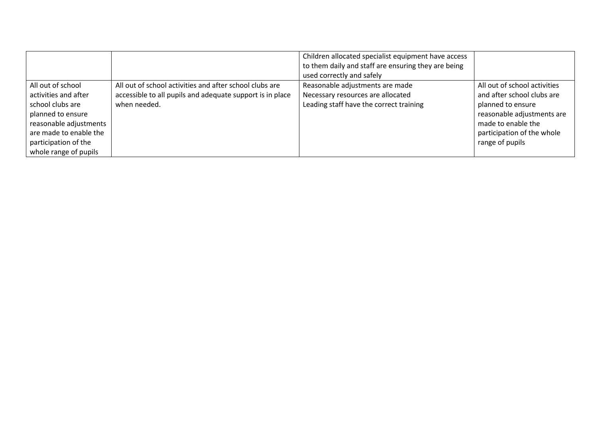|                        |                                                           | Children allocated specialist equipment have access |                              |
|------------------------|-----------------------------------------------------------|-----------------------------------------------------|------------------------------|
|                        |                                                           | to them daily and staff are ensuring they are being |                              |
|                        |                                                           | used correctly and safely                           |                              |
| All out of school      | All out of school activities and after school clubs are   | Reasonable adjustments are made                     | All out of school activities |
| activities and after   | accessible to all pupils and adequate support is in place | Necessary resources are allocated                   | and after school clubs are   |
| school clubs are       | when needed.                                              | Leading staff have the correct training             | planned to ensure            |
| planned to ensure      |                                                           |                                                     | reasonable adjustments are   |
| reasonable adjustments |                                                           |                                                     | made to enable the           |
| are made to enable the |                                                           |                                                     | participation of the whole   |
| participation of the   |                                                           |                                                     | range of pupils              |
| whole range of pupils  |                                                           |                                                     |                              |